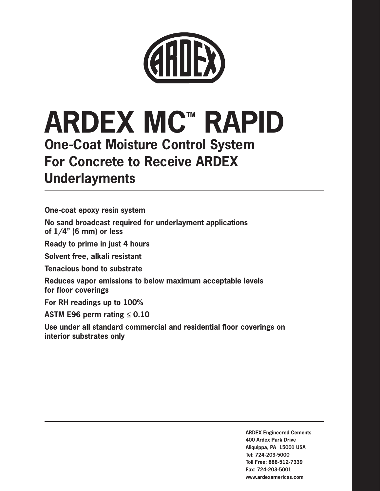

# **ARDEX MC™ RAPID One-Coat Moisture Control System For Concrete to Receive ARDEX Underlayments**

**One-coat epoxy resin system No sand broadcast required for underlayment applications of 1/4" (6 mm) or less Ready to prime in just 4 hours Solvent free, alkali resistant Tenacious bond to substrate Reduces vapor emissions to below maximum acceptable levels for floor coverings For RH readings up to 100%**

**ASTM E96 perm rating ≤ 0.10**

**Use under all standard commercial and residential floor coverings on interior substrates only**

> **ARDEX Engineered Cements 400 Ardex Park Drive Aliquippa, PA 15001 USA Tel: 724-203-5000 Toll Free: 888-512-7339 Fax: 724-203-5001 www.ardexamericas.com**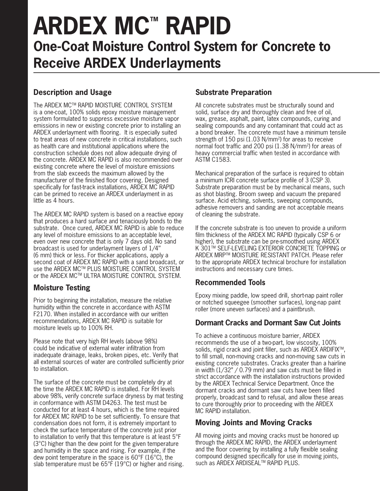# **ARDEX MC™ RAPID One-Coat Moisture Control System for Concrete to Receive ARDEX Underlayments**

# **Description and Usage**

The ARDEX MCTM RAPID MOISTURE CONTROL SYSTEM is a one-coat, 100% solids epoxy moisture management system formulated to suppress excessive moisture vapor emissions in new or existing concrete prior to installing an ARDEX underlayment with flooring. It is especially suited to treat areas of new concrete in critical installations, such as health care and institutional applications where the construction schedule does not allow adequate drying of the concrete. ARDEX MC RAPID is also recommended over existing concrete where the level of moisture emissions from the slab exceeds the maximum allowed by the manufacturer of the finished floor covering. Designed specifically for fast-track installations, ARDEX MC RAPID can be primed to receive an ARDEX underlayment in as little as 4 hours.

The ARDEX MC RAPID system is based on a reactive epoxy that produces a hard surface and tenaciously bonds to the substrate. Once cured, ARDEX MC RAPID is able to reduce any level of moisture emissions to an acceptable level, even over new concrete that is only 7 days old. No sand broadcast is used for underlayment layers of 1/4'' (6 mm) thick or less. For thicker applications, apply a second coat of ARDEX MC RAPID with a sand broadcast, or use the ARDEX MCTM PLUS MOISTURE CONTROL SYSTEM or the ARDEX MCTM ULTRA MOISTURE CONTROL SYSTEM.

### **Moisture Testing**

Prior to beginning the installation, measure the relative humidity within the concrete in accordance with ASTM F2170. When installed in accordance with our written recommendations, ARDEX MC RAPID is suitable for moisture levels up to 100% RH.

Please note that very high RH levels (above 98%) could be indicative of external water infiltration from inadequate drainage, leaks, broken pipes, etc. Verify that all external sources of water are controlled sufficiently prior to installation.

The surface of the concrete must be completely dry at the time the ARDEX MC RAPID is installed. For RH levels above 98%, verify concrete surface dryness by mat testing in conformance with ASTM D4263. The test must be conducted for at least 4 hours, which is the time required for ARDEX MC RAPID to be set sufficiently. To ensure that condensation does not form, it is extremely important to check the surface temperature of the concrete just prior to installation to verify that this temperature is at least 5°F (3°C) higher than the dew point for the given temperature and humidity in the space and rising. For example, if the dew point temperature in the space is 60°F (16°C), the slab temperature must be 65°F (19°C) or higher and rising.

## **Substrate Preparation**

All concrete substrates must be structurally sound and solid, surface dry and thoroughly clean and free of oil, wax, grease, asphalt, paint, latex compounds, curing and sealing compounds and any contaminant that could act as a bond breaker. The concrete must have a minimum tensile strength of 150 psi (1.03 N/mm<sup>2</sup>) for areas to receive normal foot traffic and 200 psi (1.38 N/mm2) for areas of heavy commercial traffic when tested in accordance with ASTM C1583.

Mechanical preparation of the surface is required to obtain a minimum ICRI concrete surface profile of 3 (CSP 3). Substrate preparation must be by mechanical means, such as shot blasting. Broom sweep and vacuum the prepared surface. Acid etching, solvents, sweeping compounds, adhesive removers and sanding are not acceptable means of cleaning the substrate.

If the concrete substrate is too uneven to provide a uniform film thickness of the ARDEX MC RAPID (typically CSP 6 or higher), the substrate can be pre-smoothed using ARDEX K 301™ SELF-LEVELING EXTERIOR CONCRETE TOPPING or ARDEX MRPTM MOISTURE RESISTANT PATCH. Please refer to the appropriate ARDEX technical brochure for installation instructions and necessary cure times.

### **Recommended Tools**

Epoxy mixing paddle, low speed drill, short-nap paint roller or notched squeegee (smoother surfaces), long-nap paint roller (more uneven surfaces) and a paintbrush.

### **Dormant Cracks and Dormant Saw Cut Joints**

To achieve a continuous moisture barrier, ARDEX recommends the use of a two-part, low viscosity, 100% solids, rigid crack and joint filler, such as ARDEX ARDIFIX<sup>™</sup>, to fill small, non-moving cracks and non-moving saw cuts in existing concrete substrates. Cracks greater than a hairline in width (1/32" / 0.79 mm) and saw cuts must be filled in strict accordance with the installation instructions provided by the ARDEX Technical Service Department. Once the dormant cracks and dormant saw cuts have been filled properly, broadcast sand to refusal, and allow these areas to cure thoroughly prior to proceeding with the ARDEX MC RAPID installation.

### **Moving Joints and Moving Cracks**

All moving joints and moving cracks must be honored up through the ARDEX MC RAPID, the ARDEX underlayment and the floor covering by installing a fully flexible sealing compound designed specifically for use in moving joints, such as ARDEX ARDISEAL™ RAPID PLUS.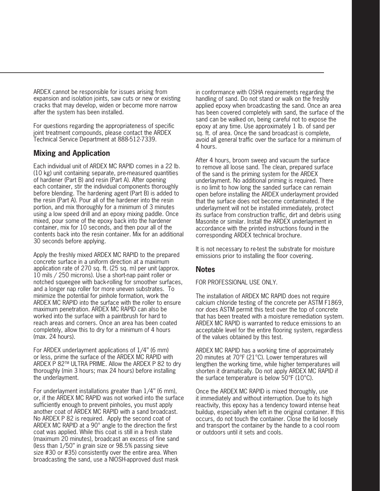ARDEX cannot be responsible for issues arising from expansion and isolation joints, saw cuts or new or existing cracks that may develop, widen or become more narrow after the system has been installed.

For questions regarding the appropriateness of specific joint treatment compounds, please contact the ARDEX Technical Service Department at 888-512-7339.

### **Mixing and Application**

Each individual unit of ARDEX MC RAPID comes in a 22 lb. (10 kg) unit containing separate, pre-measured quantities of hardener (Part B) and resin (Part A). After opening each container, stir the individual components thoroughly before blending. The hardening agent (Part B) is added to the resin (Part A). Pour all of the hardener into the resin portion, and mix thoroughly for a minimum of 3 minutes using a low speed drill and an epoxy mixing paddle. Once mixed, pour some of the epoxy back into the hardener container, mix for 10 seconds, and then pour all of the contents back into the resin container. Mix for an additional 30 seconds before applying.

Apply the freshly mixed ARDEX MC RAPID to the prepared concrete surface in a uniform direction at a maximum application rate of 270 sq. ft. (25 sq. m) per unit (approx. 10 mils / 250 microns). Use a short-nap paint roller or notched squeegee with back-rolling for smoother surfaces, and a longer nap roller for more uneven substrates. To minimize the potential for pinhole formation, work the ARDEX MC RAPID into the surface with the roller to ensure maximum penetration. ARDEX MC RAPID can also be worked into the surface with a paintbrush for hard to reach areas and corners. Once an area has been coated completely, allow this to dry for a minimum of 4 hours (max. 24 hours).

For ARDEX underlayment applications of 1/4'' (6 mm) or less, prime the surface of the ARDEX MC RAPID with ARDEX P 82™ ULTRA PRIME. Allow the ARDEX P 82 to dry thoroughly (min 3 hours; max 24 hours) before installing the underlayment.

For underlayment installations greater than 1/4'' (6 mm), or, if the ARDEX MC RAPID was not worked into the surface sufficiently enough to prevent pinholes, you must apply another coat of ARDEX MC RAPID with a sand broadcast. No ARDEX P 82 is required. Apply the second coat of ARDEX MC RAPID at a 90° angle to the direction the first coat was applied. While this coat is still in a fresh state (maximum 20 minutes), broadcast an excess of fine sand (less than 1/50'' in grain size or 98.5% passing sieve size #30 or #35) consistently over the entire area. When broadcasting the sand, use a NIOSH-approved dust mask

in conformance with OSHA requirements regarding the handling of sand. Do not stand or walk on the freshly applied epoxy when broadcasting the sand. Once an area has been covered completely with sand, the surface of the sand can be walked on, being careful not to expose the epoxy at any time. Use approximately 1 lb. of sand per sq. ft. of area. Once the sand broadcast is complete, avoid all general traffic over the surface for a minimum of 4 hours.

After 4 hours, broom sweep and vacuum the surface to remove all loose sand. The clean, prepared surface of the sand is the priming system for the ARDEX underlayment. No additional priming is required. There is no limit to how long the sanded surface can remain open before installing the ARDEX underlayment provided that the surface does not become contaminated. If the underlayment will not be installed immediately, protect its surface from construction traffic, dirt and debris using Masonite or similar. Install the ARDEX underlayment in accordance with the printed instructions found in the corresponding ARDEX technical brochure.

It is not necessary to re-test the substrate for moisture emissions prior to installing the floor covering.

#### **Notes**

FOR PROFESSIONAL USE ONLY.

The installation of ARDEX MC RAPID does not require calcium chloride testing of the concrete per ASTM F1869, nor does ASTM permit this test over the top of concrete that has been treated with a moisture remediation system. ARDEX MC RAPID is warranted to reduce emissions to an acceptable level for the entire flooring system, regardless of the values obtained by this test.

ARDEX MC RAPID has a working time of approximately 20 minutes at 70°F (21°C). Lower temperatures will lengthen the working time, while higher temperatures will shorten it dramatically. Do not apply ARDEX MC RAPID if the surface temperature is below 50°F (10°C).

Once the ARDEX MC RAPID is mixed thoroughly, use it immediately and without interruption. Due to its high reactivity, this epoxy has a tendency toward intense heat buildup, especially when left in the original container. If this occurs, do not touch the container. Close the lid loosely and transport the container by the handle to a cool room or outdoors until it sets and cools.